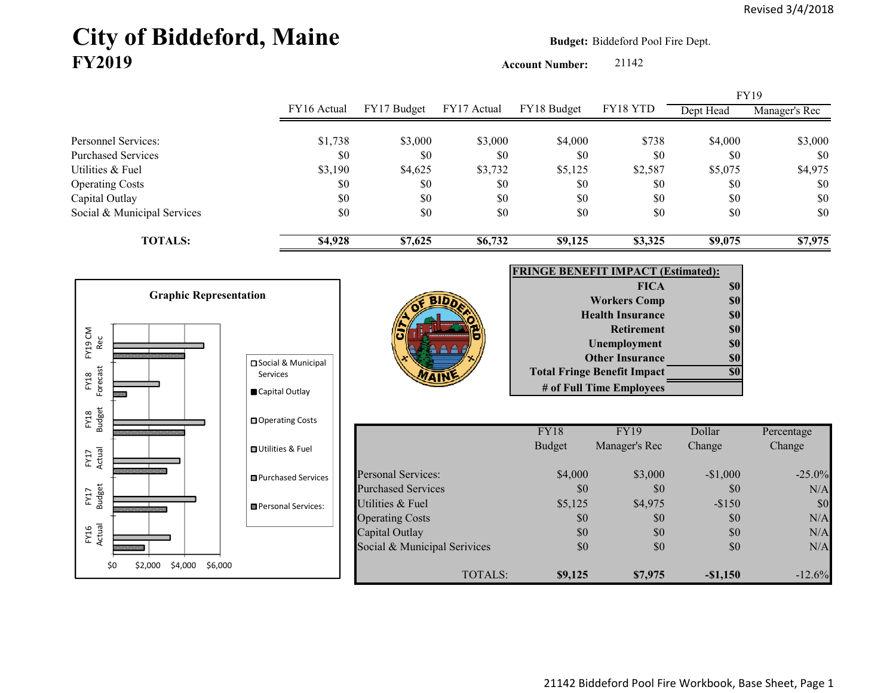# City of Biddeford, Maine **Budget: Biddeford Pool Fire Dept. FY2019**

FY16 Actual

FY17 Budget

FY17 Actual

FY18 Budget

FY18 Forecast

Forecast

**Account Number:** 21142

FY16 Actual FY17 Budget FY17 Actual FY18 Budget FY18 YTD Dept Head Manager's Rec Personnel Services:  $$1,738$   $$3,000$   $$3,000$   $$4,000$   $$738$   $$4,000$   $$3,000$ Purchased Services \$0 \$0 \$0 \$0 \$0 \$0 \$0 Utilities & Fuel \$3,190 \$4,625 \$3,732 \$5,125 \$2,587 \$5,075 \$4,975 Operating Costs \$0 \$0 \$0 \$0 \$0 \$0 Capital Outlay \$0 \$0 \$0 \$0 \$0 \$0 Social & Municipal Services \$0 \$0 \$0 \$0 \$0 \$0 \$0 **TOTALS: \$4,928 \$7,625 \$6,732 \$9,125 \$3,325 \$9,075 \$7,975 FRINGE BENEFIT IMPACT (Estimated): FICA \$0 Workers Comp 60 Health Insurance 80** FY19FY19 CM FY19 CM<br>Rec **Graphic Representation** 

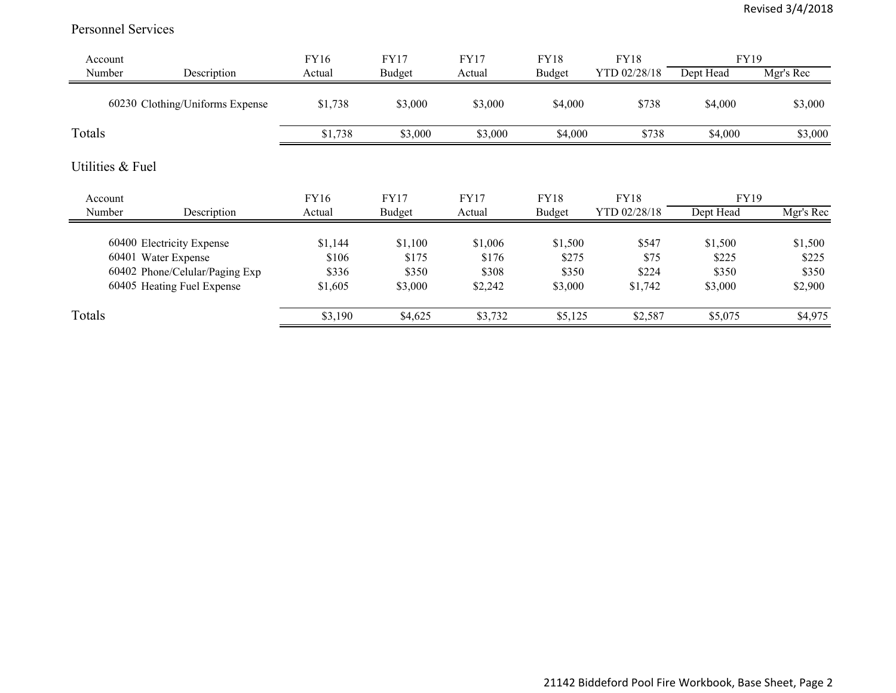#### Personnel Services

| Account          |                                 | FY16    | <b>FY17</b>   | <b>FY17</b> | <b>FY18</b> | <b>FY18</b>  | FY19      |           |
|------------------|---------------------------------|---------|---------------|-------------|-------------|--------------|-----------|-----------|
| Number           | Description                     | Actual  | <b>Budget</b> | Actual      | Budget      | YTD 02/28/18 | Dept Head | Mgr's Rec |
|                  | 60230 Clothing/Uniforms Expense | \$1,738 | \$3,000       | \$3,000     | \$4,000     | \$738        | \$4,000   | \$3,000   |
| Totals           |                                 | \$1,738 | \$3,000       | \$3,000     | \$4,000     | \$738        | \$4,000   | \$3,000   |
| Utilities & Fuel |                                 |         |               |             |             |              |           |           |
| Account          |                                 | FY16    | <b>FY17</b>   | <b>FY17</b> | <b>FY18</b> | <b>FY18</b>  | FY19      |           |
| Number           | Description                     | Actual  | <b>Budget</b> | Actual      | Budget      | YTD 02/28/18 | Dept Head | Mgr's Rec |
|                  | 60400 Electricity Expense       | \$1,144 | \$1,100       | \$1,006     | \$1,500     | \$547        | \$1,500   | \$1,500   |
|                  | 60401 Water Expense             | \$106   | \$175         | \$176       | \$275       | \$75         | \$225     | \$225     |
|                  | 60402 Phone/Celular/Paging Exp  | \$336   | \$350         | \$308       | \$350       | \$224        | \$350     | \$350     |
|                  | 60405 Heating Fuel Expense      | \$1,605 | \$3,000       | \$2,242     | \$3,000     | \$1,742      | \$3,000   | \$2,900   |
| Totals           |                                 | \$3,190 | \$4,625       | \$3,732     | \$5,125     | \$2,587      | \$5,075   | \$4,975   |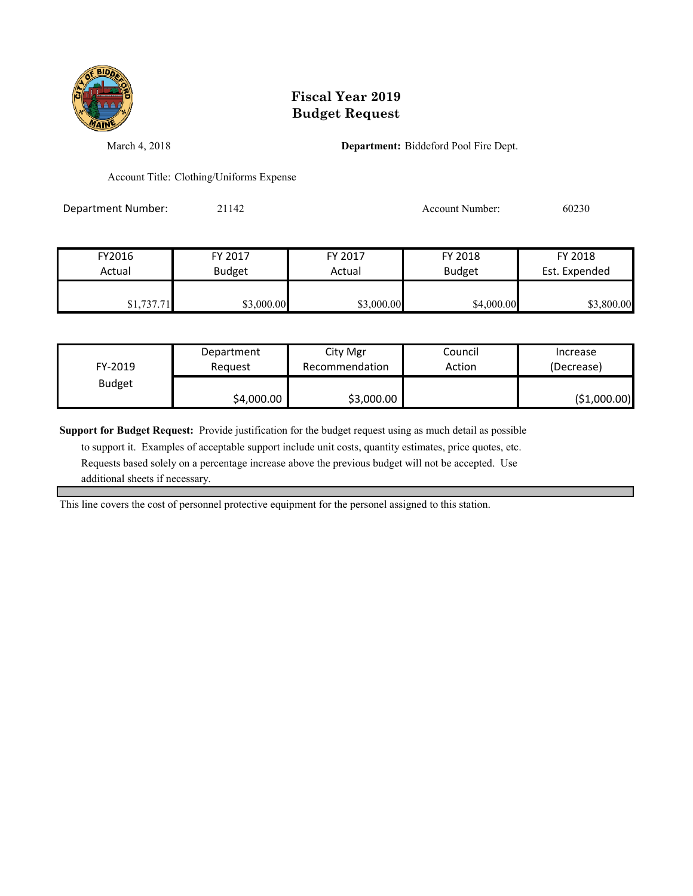

March 4, 2018 **Department:** Biddeford Pool Fire Dept.

Account Title: Clothing/Uniforms Expense

Department Number: 21142 2002 20030

| FY2016     | FY 2017       | FY 2017    | FY 2018       | FY 2018       |
|------------|---------------|------------|---------------|---------------|
| Actual     | <b>Budget</b> | Actual     | <b>Budget</b> | Est. Expended |
|            |               |            |               |               |
| \$1,737.71 | \$3,000.00    | \$3,000.00 | \$4,000.00    | \$3,800.00    |

| FY-2019       | Department | City Mgr       | Council | Increase     |
|---------------|------------|----------------|---------|--------------|
|               | Reguest    | Recommendation | Action  | (Decrease)   |
| <b>Budget</b> | \$4,000.00 | \$3,000.00     |         | (\$1,000.00) |

**Support for Budget Request:** Provide justification for the budget request using as much detail as possible

 to support it. Examples of acceptable support include unit costs, quantity estimates, price quotes, etc. Requests based solely on a percentage increase above the previous budget will not be accepted. Use additional sheets if necessary.

This line covers the cost of personnel protective equipment for the personel assigned to this station.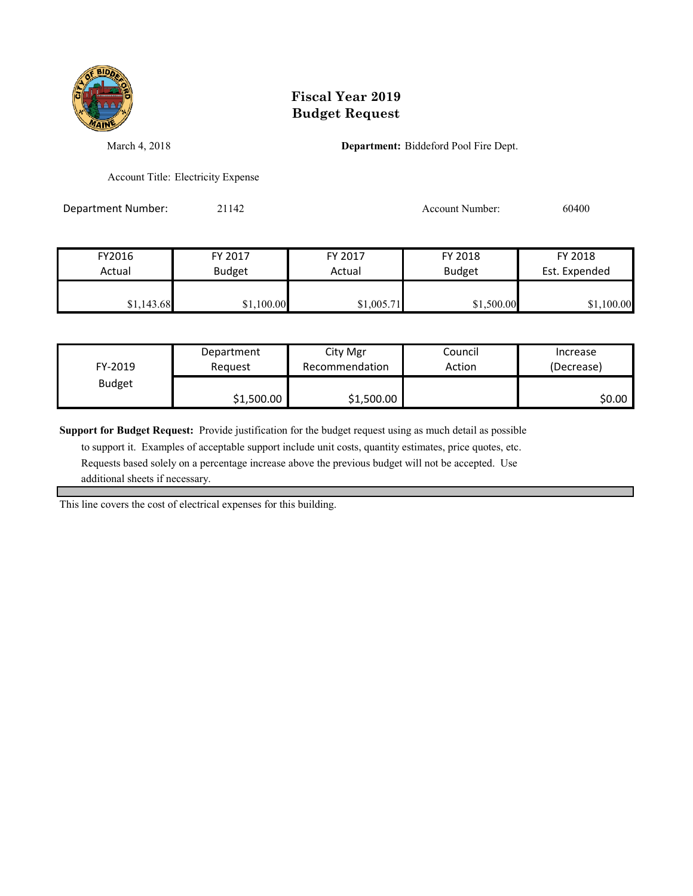

March 4, 2018 **Department:** Biddeford Pool Fire Dept.

Account Title: Electricity Expense

Department Number: 21142 2000 2014 Account Number: 60400

| FY2016     | FY 2017       | FY 2017    | FY 2018       | FY 2018       |
|------------|---------------|------------|---------------|---------------|
| Actual     | <b>Budget</b> | Actual     | <b>Budget</b> | Est. Expended |
| \$1,143.68 | \$1,100.00    | \$1,005.71 | \$1,500.00    | \$1,100.00    |

| FY-2019       | Department | City Mgr       | Council | Increase   |
|---------------|------------|----------------|---------|------------|
|               | Request    | Recommendation | Action  | (Decrease) |
| <b>Budget</b> | \$1,500.00 | \$1,500.00     |         | \$0.00     |

**Support for Budget Request:** Provide justification for the budget request using as much detail as possible

 to support it. Examples of acceptable support include unit costs, quantity estimates, price quotes, etc. Requests based solely on a percentage increase above the previous budget will not be accepted. Use additional sheets if necessary.

This line covers the cost of electrical expenses for this building.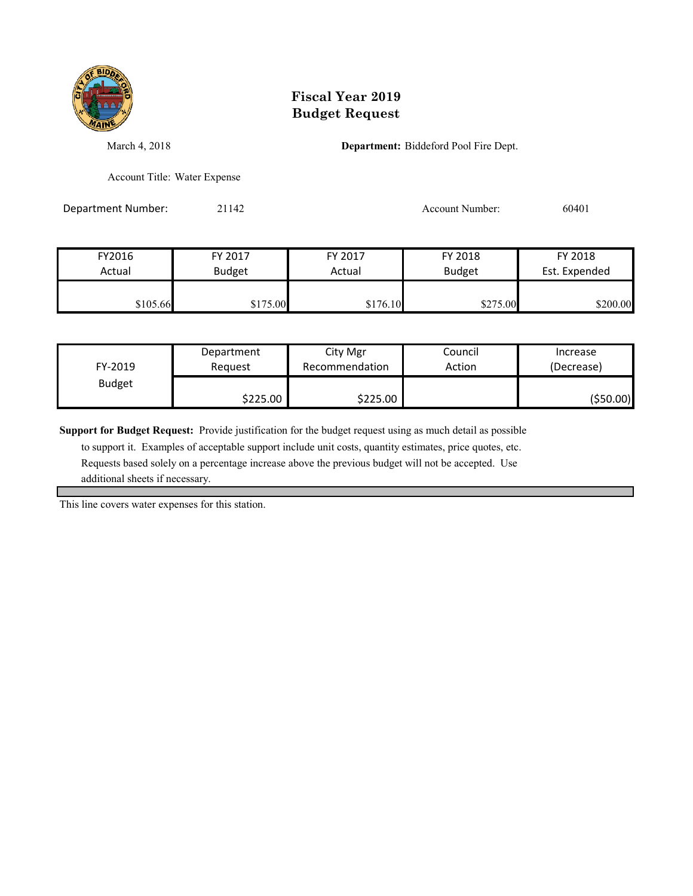

March 4, 2018 **Department:** Biddeford Pool Fire Dept.

Account Title: Water Expense

Department Number: 21142 2011 2012 2014 Account Number: 60401

| FY2016   | FY 2017       | FY 2017  | FY 2018       | FY 2018       |
|----------|---------------|----------|---------------|---------------|
| Actual   | <b>Budget</b> | Actual   | <b>Budget</b> | Est. Expended |
| \$105.66 | \$175.00      | \$176.10 | \$275.00      | \$200.00      |

| FY-2019       | Department | City Mgr       | Council | Increase   |
|---------------|------------|----------------|---------|------------|
|               | Reauest    | Recommendation | Action  | (Decrease) |
| <b>Budget</b> | \$225.00   | \$225.00       |         | ( \$50.00) |

**Support for Budget Request:** Provide justification for the budget request using as much detail as possible

 to support it. Examples of acceptable support include unit costs, quantity estimates, price quotes, etc. Requests based solely on a percentage increase above the previous budget will not be accepted. Use additional sheets if necessary.

This line covers water expenses for this station.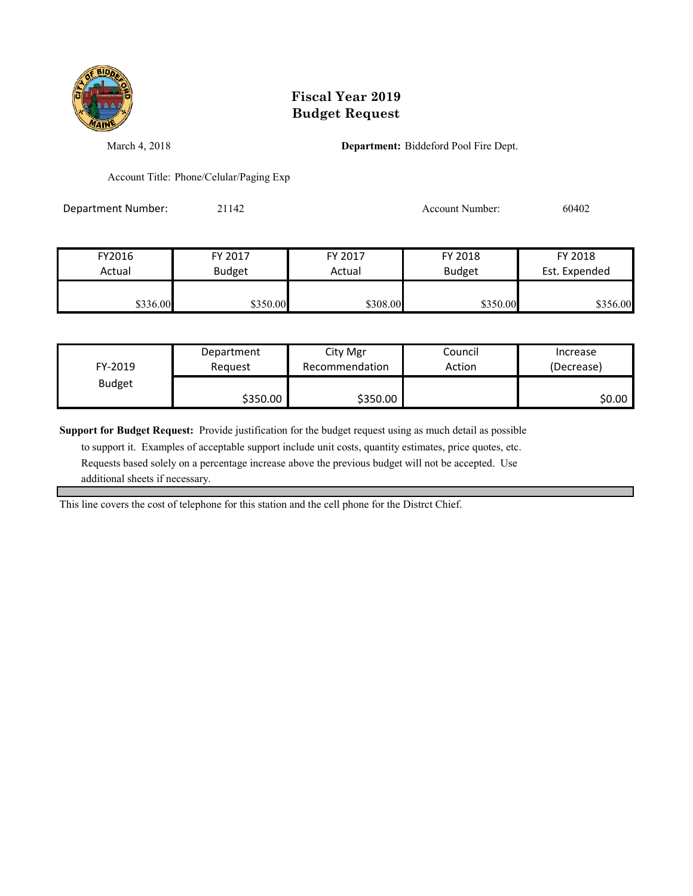

March 4, 2018 **Department:** Biddeford Pool Fire Dept.

Account Title: Phone/Celular/Paging Exp

Department Number: 21142 2002 2010 Account Number: 60402

| FY2016   | FY 2017       | FY 2017  | FY 2018       | FY 2018       |
|----------|---------------|----------|---------------|---------------|
| Actual   | <b>Budget</b> | Actual   | <b>Budget</b> | Est. Expended |
|          |               |          |               |               |
| \$336.00 | \$350.00      | \$308.00 | \$350.00      | \$356.00      |

| FY-2019       | Department | City Mgr       | Council | Increase   |
|---------------|------------|----------------|---------|------------|
|               | Reauest    | Recommendation | Action  | (Decrease) |
| <b>Budget</b> | \$350.00   | \$350.00       |         | \$0.00 l   |

**Support for Budget Request:** Provide justification for the budget request using as much detail as possible

 to support it. Examples of acceptable support include unit costs, quantity estimates, price quotes, etc. Requests based solely on a percentage increase above the previous budget will not be accepted. Use additional sheets if necessary.

This line covers the cost of telephone for this station and the cell phone for the Distrct Chief.